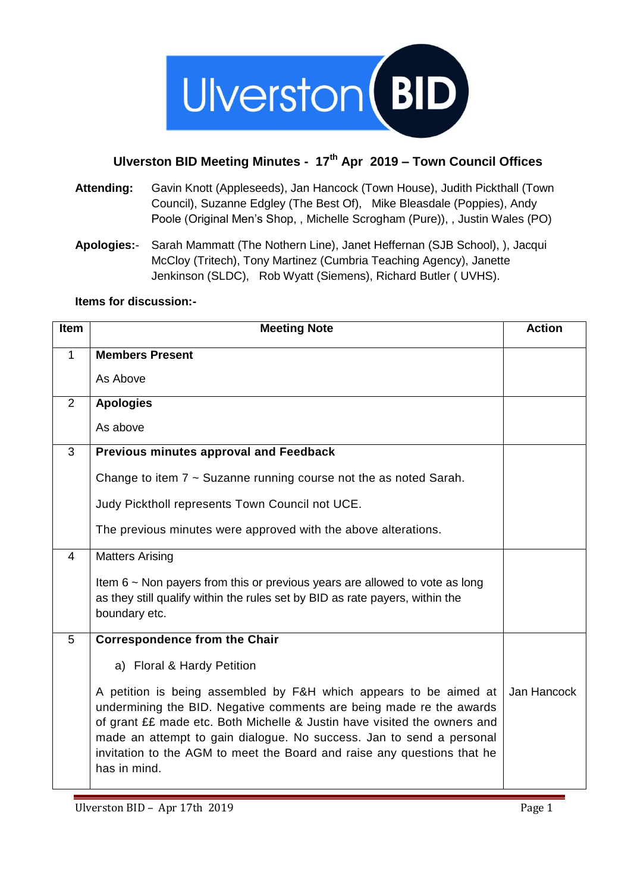

## **Ulverston BID Meeting Minutes - 17th Apr 2019 – Town Council Offices**

- **Attending:** Gavin Knott (Appleseeds), Jan Hancock (Town House), Judith Pickthall (Town Council), Suzanne Edgley (The Best Of), Mike Bleasdale (Poppies), Andy Poole (Original Men's Shop, , Michelle Scrogham (Pure)), , Justin Wales (PO)
- **Apologies:** Sarah Mammatt (The Nothern Line), Janet Heffernan (SJB School), ), Jacqui McCloy (Tritech), Tony Martinez (Cumbria Teaching Agency), Janette Jenkinson (SLDC), Rob Wyatt (Siemens), Richard Butler ( UVHS).

**Items for discussion:-**

| <b>Item</b> | <b>Meeting Note</b>                                                                                                                                                                                                                                                                                                                                                                     | <b>Action</b> |
|-------------|-----------------------------------------------------------------------------------------------------------------------------------------------------------------------------------------------------------------------------------------------------------------------------------------------------------------------------------------------------------------------------------------|---------------|
| 1           | <b>Members Present</b>                                                                                                                                                                                                                                                                                                                                                                  |               |
|             | As Above                                                                                                                                                                                                                                                                                                                                                                                |               |
| 2           | <b>Apologies</b>                                                                                                                                                                                                                                                                                                                                                                        |               |
|             | As above                                                                                                                                                                                                                                                                                                                                                                                |               |
| 3           | Previous minutes approval and Feedback                                                                                                                                                                                                                                                                                                                                                  |               |
|             | Change to item $7 \sim$ Suzanne running course not the as noted Sarah.                                                                                                                                                                                                                                                                                                                  |               |
|             | Judy Picktholl represents Town Council not UCE.                                                                                                                                                                                                                                                                                                                                         |               |
|             | The previous minutes were approved with the above alterations.                                                                                                                                                                                                                                                                                                                          |               |
| 4           | <b>Matters Arising</b>                                                                                                                                                                                                                                                                                                                                                                  |               |
|             | Item $6 \sim$ Non payers from this or previous years are allowed to vote as long<br>as they still qualify within the rules set by BID as rate payers, within the<br>boundary etc.                                                                                                                                                                                                       |               |
| 5           | <b>Correspondence from the Chair</b>                                                                                                                                                                                                                                                                                                                                                    |               |
|             | a) Floral & Hardy Petition                                                                                                                                                                                                                                                                                                                                                              |               |
|             | A petition is being assembled by F&H which appears to be aimed at<br>undermining the BID. Negative comments are being made re the awards<br>of grant ££ made etc. Both Michelle & Justin have visited the owners and<br>made an attempt to gain dialogue. No success. Jan to send a personal<br>invitation to the AGM to meet the Board and raise any questions that he<br>has in mind. | Jan Hancock   |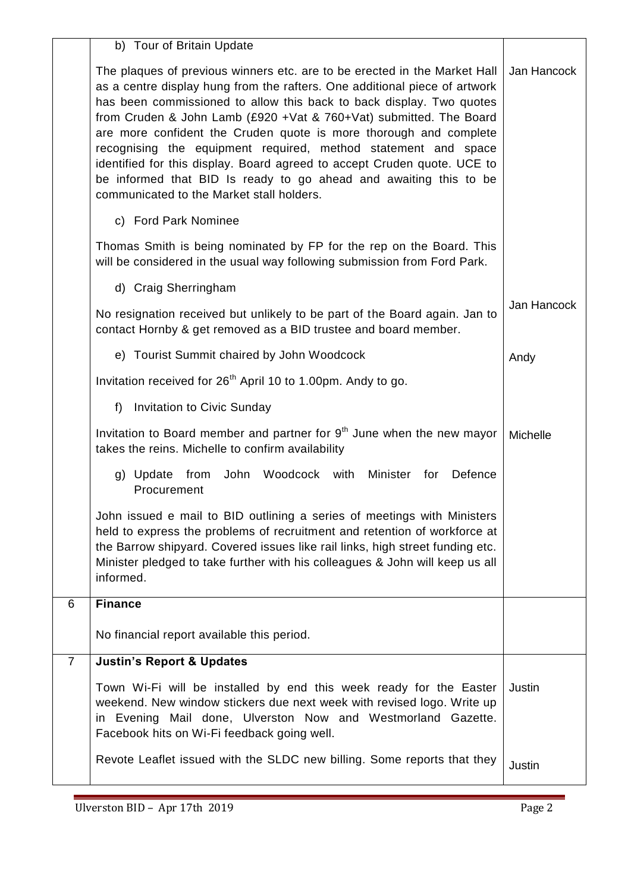|                | b) Tour of Britain Update                                                                                                                                                                                                                                                                                                                                                                                                                                                                                                                                                                                                                    |             |
|----------------|----------------------------------------------------------------------------------------------------------------------------------------------------------------------------------------------------------------------------------------------------------------------------------------------------------------------------------------------------------------------------------------------------------------------------------------------------------------------------------------------------------------------------------------------------------------------------------------------------------------------------------------------|-------------|
|                | The plaques of previous winners etc. are to be erected in the Market Hall<br>as a centre display hung from the rafters. One additional piece of artwork<br>has been commissioned to allow this back to back display. Two quotes<br>from Cruden & John Lamb (£920 + Vat & 760+ Vat) submitted. The Board<br>are more confident the Cruden quote is more thorough and complete<br>recognising the equipment required, method statement and space<br>identified for this display. Board agreed to accept Cruden quote. UCE to<br>be informed that BID Is ready to go ahead and awaiting this to be<br>communicated to the Market stall holders. | Jan Hancock |
|                | c) Ford Park Nominee                                                                                                                                                                                                                                                                                                                                                                                                                                                                                                                                                                                                                         |             |
|                | Thomas Smith is being nominated by FP for the rep on the Board. This<br>will be considered in the usual way following submission from Ford Park.                                                                                                                                                                                                                                                                                                                                                                                                                                                                                             |             |
|                | d) Craig Sherringham                                                                                                                                                                                                                                                                                                                                                                                                                                                                                                                                                                                                                         |             |
|                | No resignation received but unlikely to be part of the Board again. Jan to<br>contact Hornby & get removed as a BID trustee and board member.                                                                                                                                                                                                                                                                                                                                                                                                                                                                                                | Jan Hancock |
|                | e) Tourist Summit chaired by John Woodcock                                                                                                                                                                                                                                                                                                                                                                                                                                                                                                                                                                                                   | Andy        |
|                | Invitation received for 26 <sup>th</sup> April 10 to 1.00pm. Andy to go.                                                                                                                                                                                                                                                                                                                                                                                                                                                                                                                                                                     |             |
|                | <b>Invitation to Civic Sunday</b><br>f)                                                                                                                                                                                                                                                                                                                                                                                                                                                                                                                                                                                                      |             |
|                | Invitation to Board member and partner for 9 <sup>th</sup> June when the new mayor<br>takes the reins. Michelle to confirm availability                                                                                                                                                                                                                                                                                                                                                                                                                                                                                                      | Michelle    |
|                | John Woodcock with<br>Defence<br>g) Update from<br>Minister for<br>Procurement                                                                                                                                                                                                                                                                                                                                                                                                                                                                                                                                                               |             |
|                | John issued e mail to BID outlining a series of meetings with Ministers<br>held to express the problems of recruitment and retention of workforce at<br>the Barrow shipyard. Covered issues like rail links, high street funding etc.<br>Minister pledged to take further with his colleagues & John will keep us all<br>informed.                                                                                                                                                                                                                                                                                                           |             |
| 6              | <b>Finance</b>                                                                                                                                                                                                                                                                                                                                                                                                                                                                                                                                                                                                                               |             |
|                | No financial report available this period.                                                                                                                                                                                                                                                                                                                                                                                                                                                                                                                                                                                                   |             |
| $\overline{7}$ | <b>Justin's Report &amp; Updates</b>                                                                                                                                                                                                                                                                                                                                                                                                                                                                                                                                                                                                         |             |
|                | Town Wi-Fi will be installed by end this week ready for the Easter<br>weekend. New window stickers due next week with revised logo. Write up<br>in Evening Mail done, Ulverston Now and Westmorland Gazette.<br>Facebook hits on Wi-Fi feedback going well.                                                                                                                                                                                                                                                                                                                                                                                  | Justin      |
|                | Revote Leaflet issued with the SLDC new billing. Some reports that they                                                                                                                                                                                                                                                                                                                                                                                                                                                                                                                                                                      | Justin      |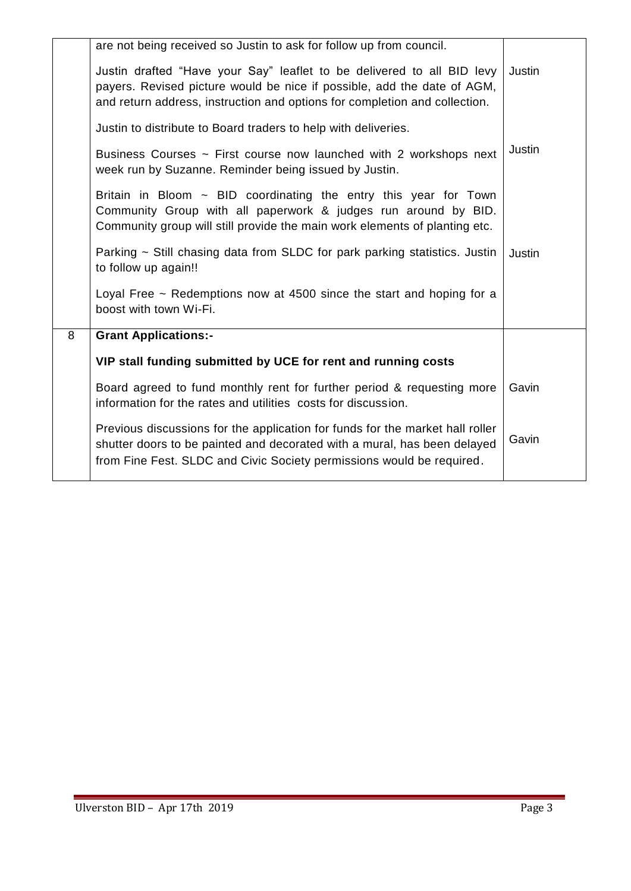|   | are not being received so Justin to ask for follow up from council.                                                                                                                                                                |               |
|---|------------------------------------------------------------------------------------------------------------------------------------------------------------------------------------------------------------------------------------|---------------|
|   | Justin drafted "Have your Say" leaflet to be delivered to all BID levy<br>payers. Revised picture would be nice if possible, add the date of AGM,<br>and return address, instruction and options for completion and collection.    | Justin        |
|   | Justin to distribute to Board traders to help with deliveries.                                                                                                                                                                     |               |
|   | Business Courses ~ First course now launched with 2 workshops next<br>week run by Suzanne. Reminder being issued by Justin.                                                                                                        | Justin        |
|   | Britain in Bloom $\sim$ BID coordinating the entry this year for Town<br>Community Group with all paperwork & judges run around by BID.<br>Community group will still provide the main work elements of planting etc.              |               |
|   | Parking $\sim$ Still chasing data from SLDC for park parking statistics. Justin<br>to follow up again!!                                                                                                                            | <b>Justin</b> |
|   | Loyal Free $\sim$ Redemptions now at 4500 since the start and hoping for a<br>boost with town Wi-Fi.                                                                                                                               |               |
| 8 | <b>Grant Applications:-</b>                                                                                                                                                                                                        |               |
|   | VIP stall funding submitted by UCE for rent and running costs                                                                                                                                                                      |               |
|   | Board agreed to fund monthly rent for further period & requesting more<br>information for the rates and utilities costs for discussion.                                                                                            | Gavin         |
|   | Previous discussions for the application for funds for the market hall roller<br>shutter doors to be painted and decorated with a mural, has been delayed<br>from Fine Fest. SLDC and Civic Society permissions would be required. | Gavin         |